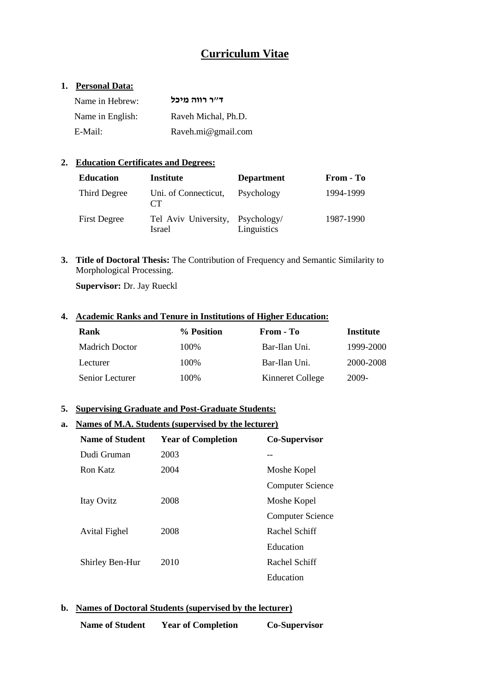# **Curriculum Vitae**

#### **1. Personal Data:**

| Name in Hebrew:  | ד״ר רווה מיכל       |
|------------------|---------------------|
| Name in English: | Raveh Michal, Ph.D. |
| E-Mail:          | Raveh.mi@gmail.com  |

### **2. Education Certificates and Degrees:**

| <b>Education</b>    | Institute                                  | <b>Department</b> | From - To |
|---------------------|--------------------------------------------|-------------------|-----------|
| Third Degree        | Uni. of Connecticut,<br>CT                 | Psychology        | 1994-1999 |
| <b>First Degree</b> | Tel Aviv University, Psychology/<br>Israel | Linguistics       | 1987-1990 |

**3. Title of Doctoral Thesis:** The Contribution of Frequency and Semantic Similarity to Morphological Processing.

**Supervisor:** Dr. Jay Rueckl

#### **4. Academic Ranks and Tenure in Institutions of Higher Education:**

| <b>Rank</b>           | % Position | From - To        | Institute |
|-----------------------|------------|------------------|-----------|
| <b>Madrich Doctor</b> | 100\%      | Bar-Ilan Uni.    | 1999-2000 |
| Lecturer              | 100\%      | Bar-Ilan Uni.    | 2000-2008 |
| Senior Lecturer       | 100%       | Kinneret College | 2009-     |

#### **5. Supervising Graduate and Post-Graduate Students:**

#### **a. Names of M.A. Students (supervised by the lecturer)**

| <b>Name of Student</b> | <b>Year of Completion</b> | Co-Supervisor           |
|------------------------|---------------------------|-------------------------|
| Dudi Gruman            | 2003                      |                         |
| Ron Katz               | 2004                      | Moshe Kopel             |
|                        |                           | <b>Computer Science</b> |
| Itay Ovitz             | 2008                      | Moshe Kopel             |
|                        |                           | <b>Computer Science</b> |
| <b>Avital Fighel</b>   | 2008                      | Rachel Schiff           |
|                        |                           | Education               |
| Shirley Ben-Hur        | 2010                      | Rachel Schiff           |
|                        |                           | Education               |

### **b. Names of Doctoral Students (supervised by the lecturer)**

| <b>Name of Student</b> | <b>Year of Completion</b> | <b>Co-Supervisor</b> |
|------------------------|---------------------------|----------------------|
|                        |                           |                      |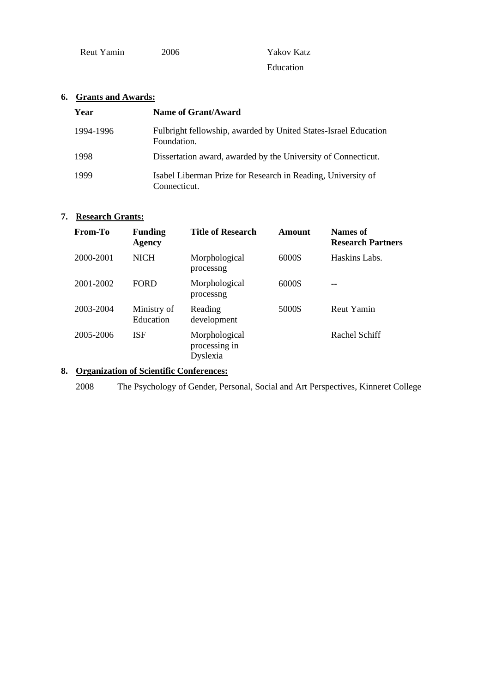| Reut Yamin |  |
|------------|--|

2006 Yakov Katz Education

## **6. Grants and Awards:**

| Year      | Name of Grant/Award                                                            |
|-----------|--------------------------------------------------------------------------------|
| 1994-1996 | Fulbright fellowship, awarded by United States-Israel Education<br>Foundation. |
| 1998      | Dissertation award, awarded by the University of Connecticut.                  |
| 1999      | Isabel Liberman Prize for Research in Reading, University of<br>Connecticut.   |

## **7. Research Grants:**

| From-To   | <b>Funding</b><br><b>Agency</b> | <b>Title of Research</b>                   | Amount | Names of<br><b>Research Partners</b> |
|-----------|---------------------------------|--------------------------------------------|--------|--------------------------------------|
| 2000-2001 | <b>NICH</b>                     | Morphological<br>processng                 | 6000\$ | Haskins Labs.                        |
| 2001-2002 | <b>FORD</b>                     | Morphological<br>processng                 | 6000\$ |                                      |
| 2003-2004 | Ministry of<br>Education        | Reading<br>development                     | 5000\$ | Reut Yamin                           |
| 2005-2006 | <b>ISF</b>                      | Morphological<br>processing in<br>Dyslexia |        | Rachel Schiff                        |

## **8. Organization of Scientific Conferences:**

2008 The Psychology of Gender, Personal, Social and Art Perspectives, Kinneret College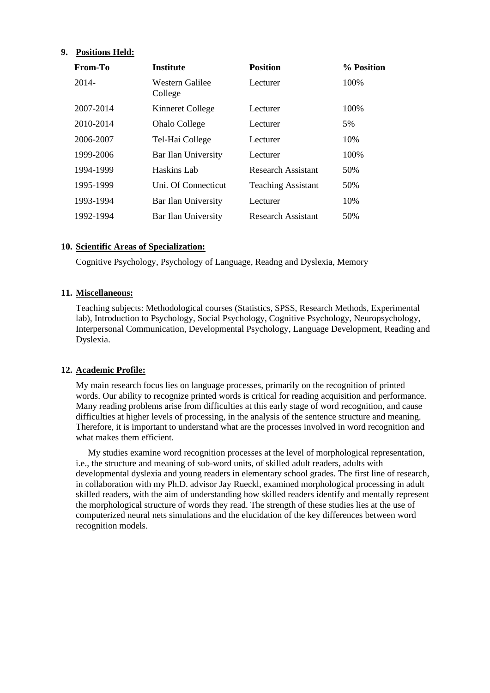#### **9. Positions Held:**

| From-To   | <b>Institute</b>           | <b>Position</b>           | % Position |
|-----------|----------------------------|---------------------------|------------|
| 2014-     | Western Galilee<br>College | Lecturer                  | 100\%      |
| 2007-2014 | Kinneret College           | Lecturer                  | 100\%      |
| 2010-2014 | <b>Ohalo College</b>       | Lecturer                  | 5%         |
| 2006-2007 | Tel-Hai College            | Lecturer                  | 10%        |
| 1999-2006 | Bar Ilan University        | Lecturer                  | 100\%      |
| 1994-1999 | Haskins Lab                | <b>Research Assistant</b> | 50%        |
| 1995-1999 | Uni. Of Connecticut        | <b>Teaching Assistant</b> | 50%        |
| 1993-1994 | Bar Ilan University        | Lecturer                  | 10%        |
| 1992-1994 | Bar Ilan University        | Research Assistant        | 50%        |

#### **10. Scientific Areas of Specialization:**

Cognitive Psychology, Psychology of Language, Readng and Dyslexia, Memory

#### **11. Miscellaneous:**

Teaching subjects: Methodological courses (Statistics, SPSS, Research Methods, Experimental lab), Introduction to Psychology, Social Psychology, Cognitive Psychology, Neuropsychology, Interpersonal Communication, Developmental Psychology, Language Development, Reading and Dyslexia.

#### **12. Academic Profile:**

My main research focus lies on language processes, primarily on the recognition of printed words. Our ability to recognize printed words is critical for reading acquisition and performance. Many reading problems arise from difficulties at this early stage of word recognition, and cause difficulties at higher levels of processing, in the analysis of the sentence structure and meaning. Therefore, it is important to understand what are the processes involved in word recognition and what makes them efficient.

My studies examine word recognition processes at the level of morphological representation, i.e., the structure and meaning of sub-word units, of skilled adult readers, adults with developmental dyslexia and young readers in elementary school grades. The first line of research, in collaboration with my Ph.D. advisor Jay Rueckl, examined morphological processing in adult skilled readers, with the aim of understanding how skilled readers identify and mentally represent the morphological structure of words they read. The strength of these studies lies at the use of computerized neural nets simulations and the elucidation of the key differences between word recognition models.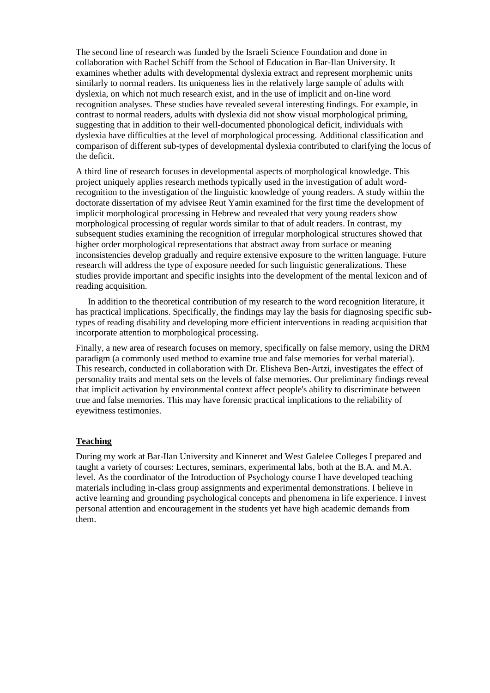The second line of research was funded by the Israeli Science Foundation and done in collaboration with Rachel Schiff from the School of Education in Bar-Ilan University. It examines whether adults with developmental dyslexia extract and represent morphemic units similarly to normal readers. Its uniqueness lies in the relatively large sample of adults with dyslexia, on which not much research exist, and in the use of implicit and on-line word recognition analyses. These studies have revealed several interesting findings. For example, in contrast to normal readers, adults with dyslexia did not show visual morphological priming, suggesting that in addition to their well-documented phonological deficit, individuals with dyslexia have difficulties at the level of morphological processing. Additional classification and comparison of different sub-types of developmental dyslexia contributed to clarifying the locus of the deficit.

A third line of research focuses in developmental aspects of morphological knowledge. This project uniquely applies research methods typically used in the investigation of adult wordrecognition to the investigation of the linguistic knowledge of young readers. A study within the doctorate dissertation of my advisee Reut Yamin examined for the first time the development of implicit morphological processing in Hebrew and revealed that very young readers show morphological processing of regular words similar to that of adult readers. In contrast, my subsequent studies examining the recognition of irregular morphological structures showed that higher order morphological representations that abstract away from surface or meaning inconsistencies develop gradually and require extensive exposure to the written language. Future research will address the type of exposure needed for such linguistic generalizations. These studies provide important and specific insights into the development of the mental lexicon and of reading acquisition.

In addition to the theoretical contribution of my research to the word recognition literature, it has practical implications. Specifically, the findings may lay the basis for diagnosing specific subtypes of reading disability and developing more efficient interventions in reading acquisition that incorporate attention to morphological processing.

Finally, a new area of research focuses on memory, specifically on false memory, using the DRM paradigm (a commonly used method to examine true and false memories for verbal material). This research, conducted in collaboration with Dr. Elisheva Ben-Artzi, investigates the effect of personality traits and mental sets on the levels of false memories. Our preliminary findings reveal that implicit activation by environmental context affect people's ability to discriminate between true and false memories. This may have forensic practical implications to the reliability of eyewitness testimonies.

#### **Teaching**

During my work at Bar-Ilan University and Kinneret and West Galelee Colleges I prepared and taught a variety of courses: Lectures, seminars, experimental labs, both at the B.A. and M.A. level. As the coordinator of the Introduction of Psychology course I have developed teaching materials including in-class group assignments and experimental demonstrations. I believe in active learning and grounding psychological concepts and phenomena in life experience. I invest personal attention and encouragement in the students yet have high academic demands from them.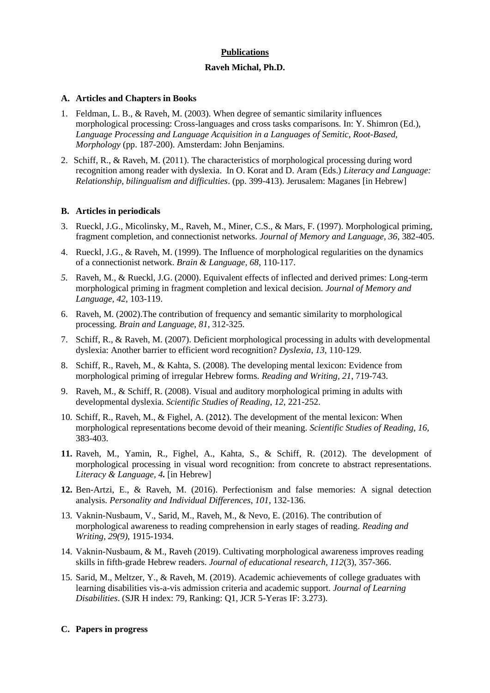## **Publications Raveh Michal, Ph.D.**

#### **A. Articles and Chapters in Books**

- 1. Feldman, L. B., & Raveh, M. (2003). When degree of semantic similarity influences morphological processing: Cross-languages and cross tasks comparisons. In: Y. Shimron (Ed.), *Language Processing and Language Acquisition in a Languages of Semitic, Root-Based, Morphology* (pp. 187-200). Amsterdam: John Benjamins.
- 2. Schiff, R., & Raveh, M. (2011). The characteristics of morphological processing during word recognition among reader with dyslexia. In O. Korat and D. Aram (Eds.) *Literacy and Language: Relationship, bilingualism and difficulties*. (pp. 399-413). Jerusalem: Maganes [in Hebrew]

#### **B. Articles in periodicals**

- 3. Rueckl, J.G., Micolinsky, M., Raveh, M., Miner, C.S., & Mars, F. (1997). Morphological priming, fragment completion, and connectionist networks. *Journal of Memory and Language, 36*, 382-405.
- 4. Rueckl, J.G., & Raveh, M. (1999). The Influence of morphological regularities on the dynamics of a connectionist network. *Brain & Language*, *68*, 110-117.
- *5.* Raveh, M., & Rueckl, J.G. (2000). Equivalent effects of inflected and derived primes: Long-term morphological priming in fragment completion and lexical decision*. Journal of Memory and Language, 42*, 103-119.
- 6. Raveh, M. (2002).The contribution of frequency and semantic similarity to morphological processing. *Brain and Language*, *81*, 312-325.
- 7. Schiff, R., & Raveh, M. (2007). Deficient morphological processing in adults with developmental dyslexia: Another barrier to efficient word recognition? *Dyslexia*, *13*, 110-129.
- 8. Schiff, R., Raveh, M., & Kahta, S. (2008). The developing mental lexicon: Evidence from morphological priming of irregular Hebrew forms*. Reading and Writing, 21*, 719-743.
- 9. Raveh, M., & Schiff, R. (2008). Visual and auditory morphological priming in adults with developmental dyslexia. *Scientific Studies of Reading*, *12*, 221-252.
- 10. Schiff, R., Raveh, M., & Fighel, A. (2012). The development of the mental lexicon: When morphological representations become devoid of their meaning. *Scientific Studies of Reading, 16,*  383-403.
- **11.** Raveh, M., Yamin, R., Fighel, A., Kahta, S., & Schiff, R. (2012). The development of morphological processing in visual word recognition: from concrete to abstract representations. *Literacy & Language, 4.* [in Hebrew]
- **12.** Ben-Artzi, E., & Raveh, M. (2016). Perfectionism and false memories: A signal detection analysis. *Personality and Individual Differences*, *101*, 132-136.
- 13. Vaknin-Nusbaum, V., Sarid, M., Raveh, M., & Nevo, E. (2016). The contribution of morphological awareness to reading comprehension in early stages of reading. *Reading and Writing*, *29(9)*, 1915-1934.
- 14. Vaknin-Nusbaum, & M., Raveh (2019). Cultivating morphological awareness improves reading skills in fifth-grade Hebrew readers. *Journal of educational research, 112*(3), 357-366.
- 15. Sarid, M., Meltzer, Y., & Raveh, M. (2019). Academic achievements of college graduates with learning disabilities vis-a-vis admission criteria and academic support. *Journal of Learning Disabilities*. (SJR H index: 79, Ranking: Q1, JCR 5-Yeras IF: 3.273).

#### **C. Papers in progress**